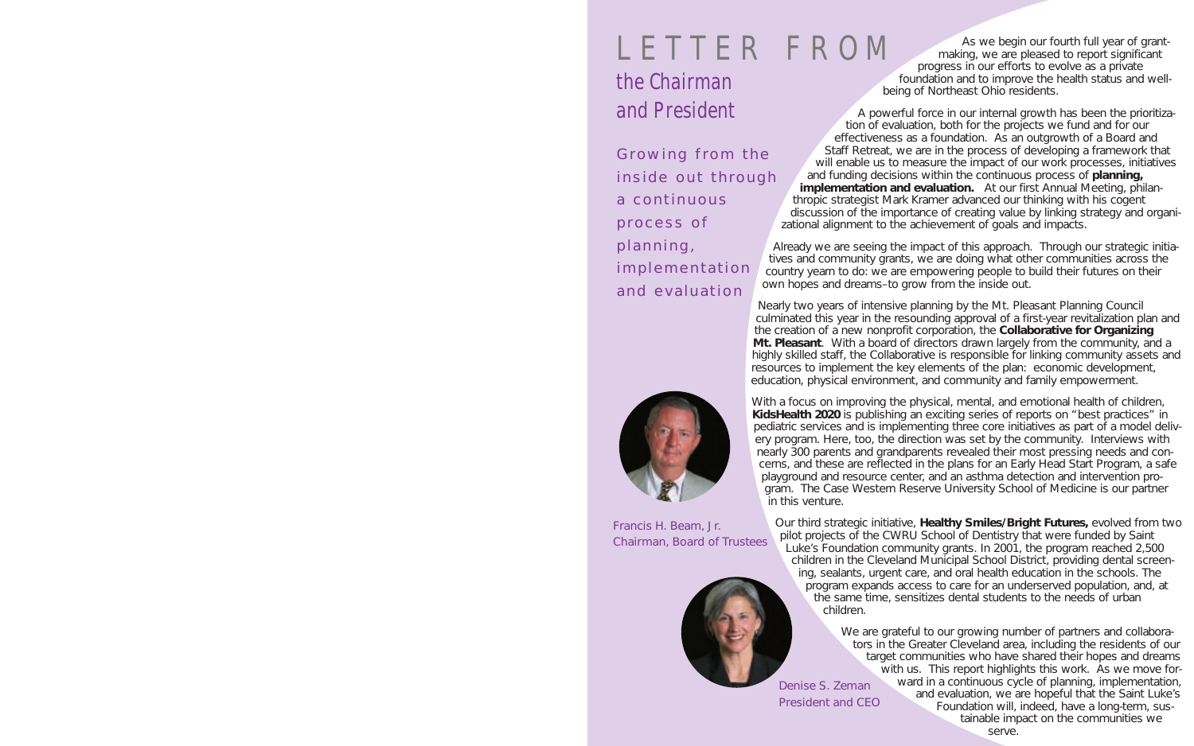Francis H. Beam, Jr. Chairman, Board of Trustees



Denise S. Zeman President and CEO

# LETTER FROM

### the Chairman and President

Growing from the inside out through a continuous process of planning, implementation and evaluation



As we begin our fourth full year of grantmaking, we are pleased to report significant progress in our efforts to evolve as a private foundation and to improve the health status and wellbeing of Northeast Ohio residents.

A powerful force in our internal growth has been the prioritization of evaluation, both for the projects we fund and for our effectiveness as a foundation. As an outgrowth of a Board and Staff Retreat, we are in the process of developing a framework that will enable us to measure the impact of our work processes, initiatives and funding decisions within the continuous process of **planning, implementation and evaluation.** At our first Annual Meeting, philanthropic strategist Mark Kramer advanced our thinking with his cogent discussion of the importance of creating value by linking strategy and organizational alignment to the achievement of goals and impacts.

Already we are seeing the impact of this approach. Through our strategic initiatives and community grants, we are doing what other communities across the country yearn to do: we are empowering people to build their futures on their own hopes and dreams–to grow from the inside out.

Nearly two years of intensive planning by the Mt. Pleasant Planning Council culminated this year in the resounding approval of a first-year revitalization plan and the creation of a new nonprofit corporation, the **Collaborative for Organizing Mt. Pleasant**. With a board of directors drawn largely from the community, and a highly skilled staff, the Collaborative is responsible for linking community assets and resources to implement the key elements of the plan: *economic development, education, physical environment, and community and family empowerment.*

With a focus on improving the physical, mental, and emotional health of children, **KidsHealth 2020** is publishing an exciting series of reports on "best practices" in pediatric services and is implementing three core initiatives as part of a model delivery program. Here, too, the direction was set by the community. Interviews with nearly 300 parents and grandparents revealed their most pressing needs and concerns, and these are reflected in the plans for an Early Head Start Program, a safe playground and resource center, and an asthma detection and intervention program. The Case Western Reserve University School of Medicine is our partner in this venture.

Our third strategic initiative, **Healthy Smiles/Bright Futures,** evolved from two pilot projects of the CWRU School of Dentistry that were funded by Saint Luke's Foundation community grants. In 2001, the program reached 2,500 children in the Cleveland Municipal School District, providing dental screening, sealants, urgent care, and oral health education in the schools. The program expands access to care for an underserved population, and, at the same time, sensitizes dental students to the needs of urban children.

> We are grateful to our growing number of partners and collaborators in the Greater Cleveland area, including the residents of our target communities who have shared their hopes and dreams with us. This report highlights this work. As we move forward in a continuous cycle of planning, implementation, and evaluation, we are hopeful that the Saint Luke's Foundation will, indeed, have a long-term, sustainable impact on the communities we serve.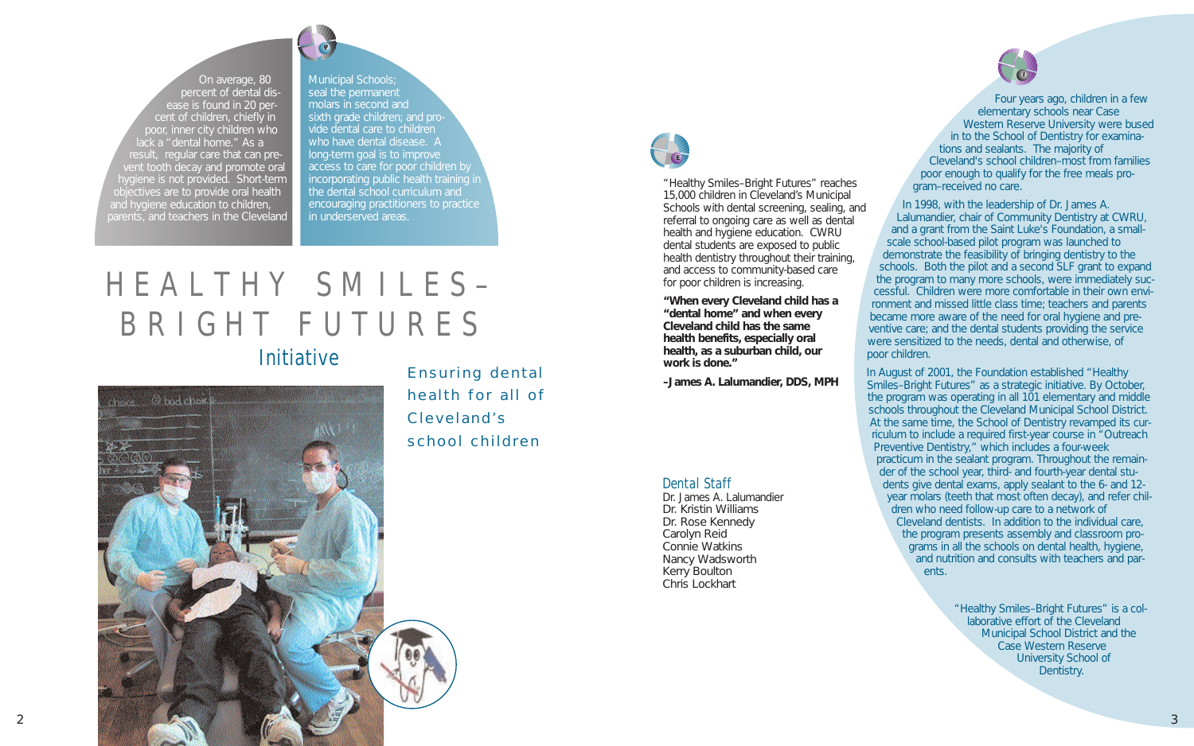"Healthy Smiles–Bright Futures" reaches 15,000 children in Cleveland's Municipal Schools with dental screening, sealing, and referral to ongoing care as well as dental health and hygiene education. CWRU dental students are exposed to public health dentistry throughout their training, and access to community-based care for poor children is increasing.

**"When every Cleveland child has a "dental home" and when every Cleveland child has the same health benefits, especially oral health, as a suburban child, our work is done."**

**–James A. Lalumandier, DDS, MPH**

Municipal Schools; seal the permanent molars in second and sixth grade children; and provide dental care to children who have dental disease. A long-term goal is to improve access to care for poor children by incorporating public health training in the dental school curriculum and encouraging practitioners to practice in underserved areas.

On average, 80 percent of dental disease is found in 20 percent of children, chiefly in poor, inner city children who lack a "dental home." As a result, regular care that can prevent tooth decay and promote oral hygiene is not provided. Short-term jectives are to provide oral health and hygiene education to children, parents, and teachers in the Cleveland

## HEALTHY SMILES– BRIGHT FUTURES

### Initiative

 $_{check}$   $\odot$  bad chart 2  $\sim$  3  $\sim$  3

Four years ago, children in a few elementary schools near Case Western Reserve University were bused in to the School of Dentistry for examina-

tions and sealants. The majority of Cleveland's school children–most from families poor enough to qualify for the free meals program–received no care. In 1998, with the leadership of Dr. James A. Lalumandier, chair of Community Dentistry at CWRU, and a grant from the Saint Luke's Foundation, a smallscale school-based pilot program was launched to demonstrate the feasibility of bringing dentistry to the schools. Both the pilot and a second SLF grant to expand the program to many more schools, were immediately successful. Children were more comfortable in their own environment and missed little class time; teachers and parents became more aware of the need for oral hygiene and preventive care; and the dental students providing the service were sensitized to the needs, dental and otherwise, of poor children.

In August of 2001, the Foundation established "Healthy Smiles–Bright Futures" as a strategic initiative. By October, the program was operating in all 101 elementary and middle schools throughout the Cleveland Municipal School District. At the same time, the School of Dentistry revamped its curriculum to include a required first-year course in "Outreach Preventive Dentistry," which includes a four-week practicum in the sealant program. Throughout the remainder of the school year, third- and fourth-year dental students give dental exams, apply sealant to the 6- and 12 year molars (teeth that most often decay), and refer children who need follow-up care to a network of Cleveland dentists. In addition to the individual care, the program presents assembly and classroom programs in all the schools on dental health, hygiene, and nutrition and consults with teachers and parents.

> "Healthy Smiles–Bright Futures" is a collaborative effort of the Cleveland Municipal School District and the Case Western Reserve University School of Dentistry.

Dental Staff

Dr. James A. Lalumandier Dr. Kristin Williams Dr. Rose Kennedy Carolyn Reid Connie Watkins Nancy Wadsworth Kerry Boulton Chris Lockhart

Ensuring dental health for all of Cleveland's school children

**P**



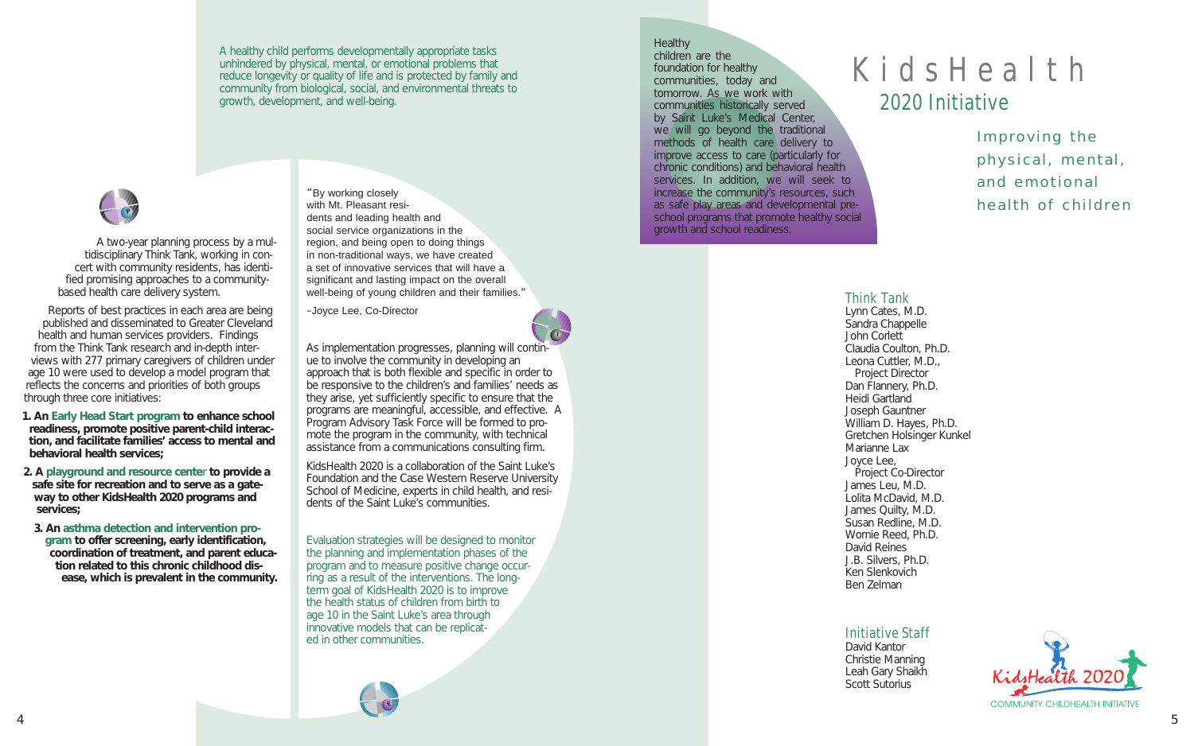### KidsHealth 2020 Initiative

Improving the physical, mental, and emotional health of children



A two-year planning process by a multidisciplinary Think Tank, working in concert with community residents, has identified promising approaches to a communitybased health care delivery system.

Reports of best practices in each area are being published and disseminated to Greater Cleveland health and human services providers. Findings from the Think Tank research and in-depth interviews with 277 primary caregivers of children under age 10 were used to develop a model program that reflects the concerns and priorities of both groups through three core initiatives:

- **1. An Early Head Start program to enhance school readiness, promote positive parent-child interaction, and facilitate families' access to mental and behavioral health services;**
- **2. A playground and resource center to provide a safe site for recreation and to serve as a gateway to other KidsHealth 2020 programs and services;**
- **3. An asthma detection and intervention program to offer screening, early identification, coordination of treatment, and parent education related to this chronic childhood disease, which is prevalent in the community.**

**Healthy** children are the foundation for healthy communities, today and tomorrow. As we work with communities historically served by Saint Luke's Medical Center, we will go beyond the traditional methods of health care delivery to improve access to care (particularly for chronic conditions) and behavioral health services. In addition, we will seek to increase the community's resources, such as safe play areas and developmental preschool programs that promote healthy social growth and school readiness.

A healthy child performs developmentally appropriate tasks unhindered by physical, mental, or emotional problems that reduce longevity or quality of life and is protected by family and community from biological, social, and environmental threats to growth, development, and well-being.

### Think Tank

Lynn Cates, M.D. Sandra Chappelle John Corlett Claudia Coulton, Ph.D. Leona Cuttler, M.D., Project Director Dan Flannery, Ph.D. Heidi Gartland Joseph Gauntner William D. Hayes, Ph.D. Gretchen Holsinger Kunkel Marianne Lax Joyce Lee, Project Co-Director James Leu, M.D. Lolita McDavid, M.D. James Quilty, M.D. Susan Redline, M.D. Wornie Reed, Ph.D. David Reines J.B. Silvers, Ph.D. Ken Slenkovich Ben Zelman

### Initiative Staff

David Kantor Christie Manning Leah Gary Shaikh Scott Sutorius







"By working closely with Mt. Pleasant residents and leading health and social service organizations in the region, and being open to doing things in non-traditional ways, we have created a set of innovative services that will have a significant and lasting impact on the overall well-being of young children and their families."

–Joyce Lee, Co-Director

As implementation progresses, planning will continue to involve the community in developing an approach that is both flexible and specific in order to be responsive to the children's and families' needs as they arise, yet sufficiently specific to ensure that the programs are meaningful, accessible, and effective. A Program Advisory Task Force will be formed to promote the program in the community, with technical assistance from a communications consulting firm.

KidsHealth 2020 is a collaboration of the Saint Luke's Foundation and the Case Western Reserve University School of Medicine, experts in child health, and residents of the Saint Luke's communities.

Evaluation strategies will be designed to monitor the planning and implementation phases of the program and to measure positive change occurring as a result of the interventions. The longterm goal of KidsHealth 2020 is to improve the health status of children from birth to age 10 in the Saint Luke's area through innovative models that can be replicated in other communities.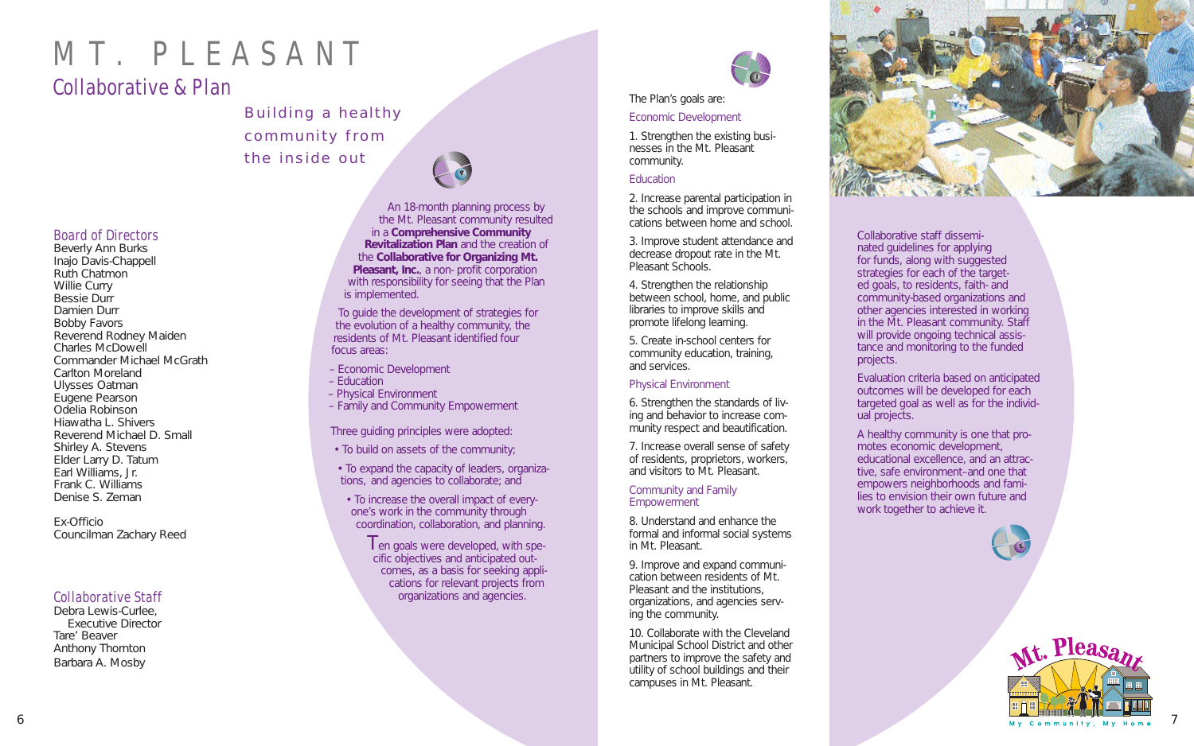### Board of Directors

Beverly Ann Burks Inajo Davis-Chappell Ruth Chatmon Willie Curry Bessie Durr Damien Durr Bobby Favors Reverend Rodney Maiden Charles McDowell Commander Michael McGrath Carlton Moreland Ulysses Oatman Eugene Pearson Odelia Robinson Hiawatha L. Shivers Reverend Michael D. Small Shirley A. Stevens Elder Larry D. Tatum Earl Williams, Jr. Frank C. Williams Denise S. Zeman

Ex-Officio Councilman Zachary Reed

### Collaborative Staff

Debra Lewis-Curlee, Executive Director Tare' Beaver Anthony Thornton Barbara A. Mosby

An 18-month planning process by the Mt. Pleasant community resulted in a **Comprehensive Community Revitalization Plan** and the creation of the **Collaborative for Organizing Mt. Pleasant, Inc.**, a non- profit corporation with responsibility for seeing that the Plan is implemented.

> $\mathsf I$  en goals were developed, with specific objectives and anticipated outcomes, as a basis for seeking applications for relevant projects from organizations and agencies.



To guide the development of strategies for the evolution of a healthy community, the residents of Mt. Pleasant identified four focus areas:

- Economic Development
- Education
- Physical Environment
- Family and Community Empowerment

Three guiding principles were adopted:

- To build on assets of the community;
- To expand the capacity of leaders, organizations, and agencies to collaborate; and
- To increase the overall impact of everyone's work in the community through coordination, collaboration, and planning.

#### Community and Family **Empowerment**

Collaborative staff disseminated guidelines for applying for funds, along with suggested strategies for each of the targeted goals, to residents, faith- and community-based organizations and other agencies interested in working in the Mt. Pleasant community. Staff will provide ongoing technical assistance and monitoring to the funded

projects.

Evaluation criteria based on anticipated outcomes will be developed for each targeted goal as well as for the individ-

ual projects.

A healthy community is one that promotes economic development, educational excellence, and an attractive, safe environment–and one that empowers neighborhoods and families to envision their own future and work together to achieve it.

# MT. PLEASANT

### Collaborative & Plan

### Building a healthy community from the inside out

### The Plan's goals are: Economic Development

1. Strengthen the existing businesses in the Mt. Pleasant community.

### **Education**

2. Increase parental participation in the schools and improve communications between home and school.

3. Improve student attendance and decrease dropout rate in the Mt. Pleasant Schools.

4. Strengthen the relationship between school, home, and public libraries to improve skills and promote lifelong learning.

5. Create in-school centers for community education, training, and services.

### Physical Environment

6. Strengthen the standards of living and behavior to increase community respect and beautification.

7. Increase overall sense of safety of residents, proprietors, workers, and visitors to Mt. Pleasant.

8. Understand and enhance the formal and informal social systems in Mt. Pleasant.

9. Improve and expand communication between residents of Mt. Pleasant and the institutions, organizations, and agencies serving the community.

10. Collaborate with the Cleveland Municipal School District and other partners to improve the safety and utility of school buildings and their campuses in Mt. Pleasant.







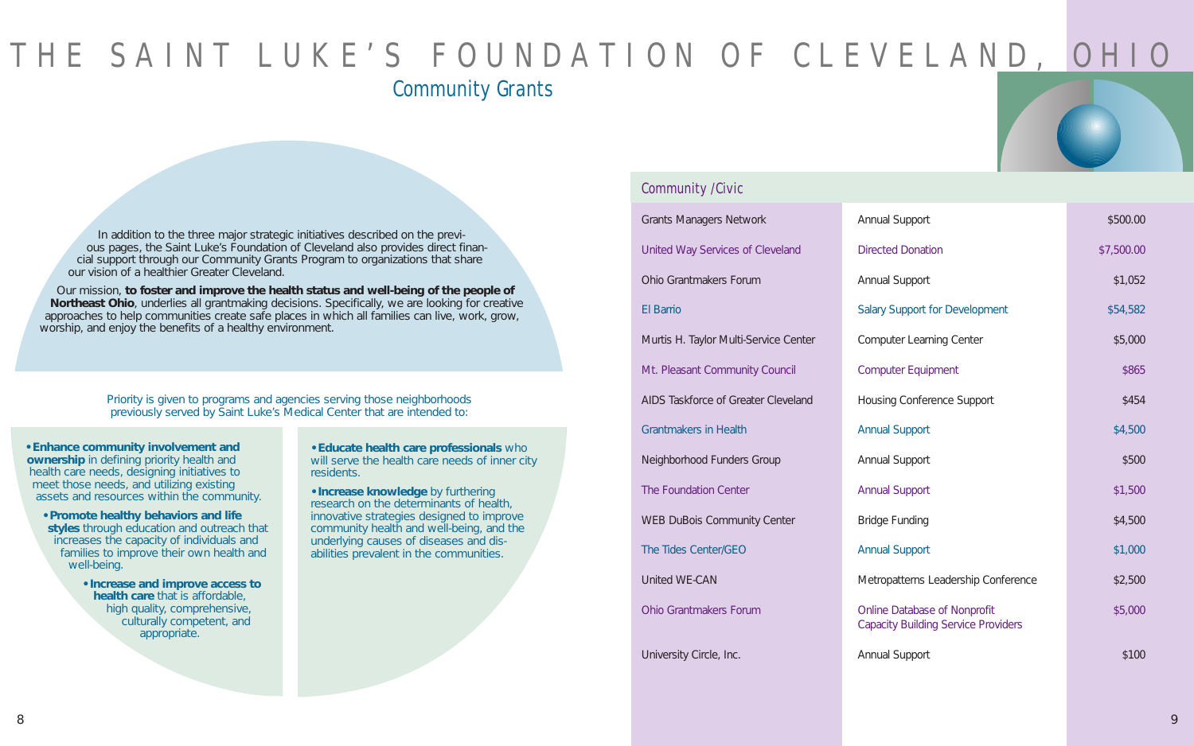In addition to the three major strategic initiatives described on the previous pages, the Saint Luke's Foundation of Cleveland also provides direct financial support through our Community Grants Program to organizations that share our vision of a healthier Greater Cleveland.

Our mission, **to foster and improve the health status and well-being of the people of Northeast Ohio**, underlies all grantmaking decisions. Specifically, we are looking for creative approaches to help communities create safe places in which all families can live, work, grow, worship, and enjoy the benefits of a healthy environment.

**• Enhance community involvement and ownership** in defining priority health and health care needs, designing initiatives to meet those needs, and utilizing existing assets and resources within the community.

Priority is given to programs and agencies serving those neighborhoods previously served by Saint Luke's Medical Center that are intended to:

| <b>Grants Managers Network</b>        | Annual Support                                                             | \$500.00   |
|---------------------------------------|----------------------------------------------------------------------------|------------|
| United Way Services of Cleveland      | <b>Directed Donation</b>                                                   | \$7,500.00 |
| Ohio Grantmakers Forum                | Annual Support                                                             | \$1,052    |
| <b>El Barrio</b>                      | <b>Salary Support for Development</b>                                      | \$54,582   |
| Murtis H. Taylor Multi-Service Center | <b>Computer Learning Center</b>                                            | \$5,000    |
| Mt. Pleasant Community Council        | <b>Computer Equipment</b>                                                  | \$865      |
| AIDS Taskforce of Greater Cleveland   | <b>Housing Conference Support</b>                                          | \$454      |
| <b>Grantmakers in Health</b>          | <b>Annual Support</b>                                                      | \$4,500    |
| Neighborhood Funders Group            | <b>Annual Support</b>                                                      | \$500      |
| The Foundation Center                 | <b>Annual Support</b>                                                      | \$1,500    |
| <b>WEB DuBois Community Center</b>    | <b>Bridge Funding</b>                                                      | \$4,500    |
| The Tides Center/GEO                  | <b>Annual Support</b>                                                      | \$1,000    |
| United WE-CAN                         | Metropatterns Leadership Conference                                        | \$2,500    |
| Ohio Grantmakers Forum                | Online Database of Nonprofit<br><b>Capacity Building Service Providers</b> | \$5,000    |

University Circle, Inc. Annual Support  $\blacksquare$ 

|                                     | \$500.00   |
|-------------------------------------|------------|
| ρh                                  | \$7,500.00 |
|                                     | \$1,052    |
| or Development                      | \$54,582   |
| ing Center                          | \$5,000    |
| ment                                | \$865      |
| ence Support                        | \$454      |
|                                     | \$4,500    |
|                                     | \$500      |
|                                     | \$1,500    |
|                                     | \$4,500    |
|                                     | \$1,000    |
| eadership Conference                | \$2,500    |
| of Nonprofit<br>g Service Providers | \$5,000    |
|                                     | \$100      |

- **Promote healthy behaviors and life styles** through education and outreach that increases the capacity of individuals and families to improve their own health and well-being.
	- **Increase and improve access to health care** that is affordable, high quality, comprehensive, culturally competent, and appropriate.

**• Educate health care professionals** who will serve the health care needs of inner city residents.

**• Increase knowledge** by furthering research on the determinants of health, innovative strategies designed to improve community health and well-being, and the underlying causes of diseases and disabilities prevalent in the communities.

## THE SAINT LUKE'S FOUNDATION OF CLEVELAND, OHIO Community Grants

### Community /Civic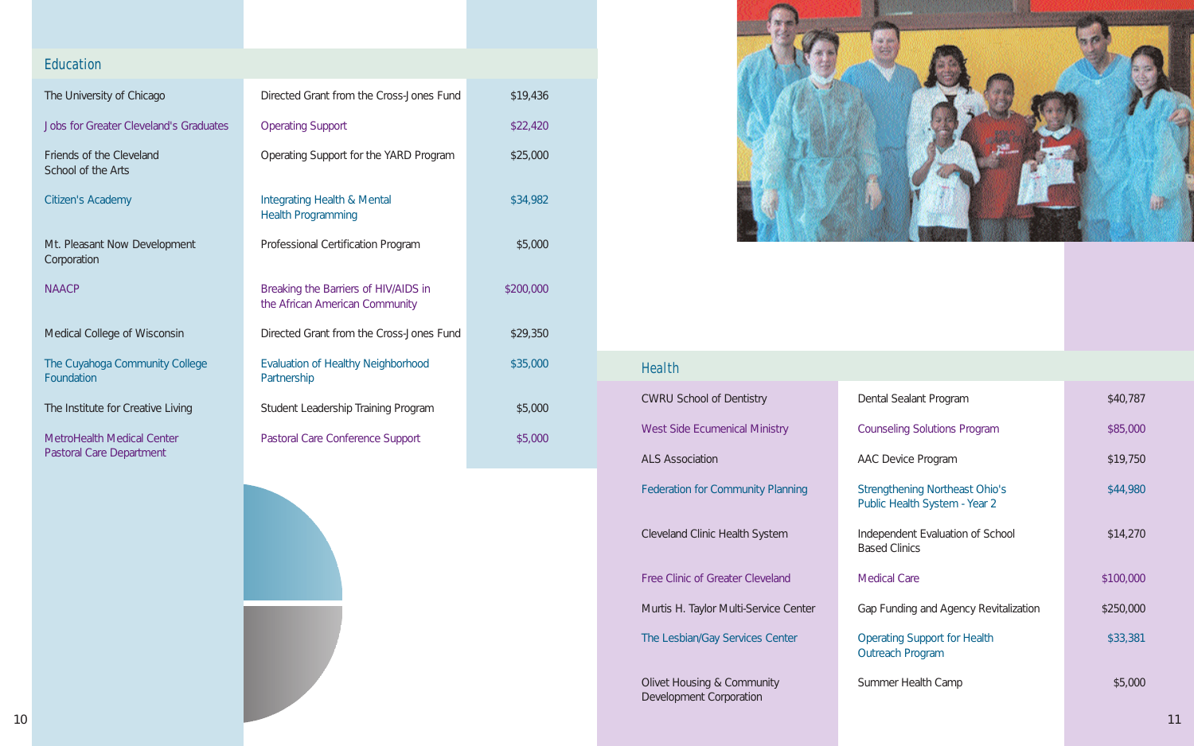### Education

| The University of Chicago                      | Directed Grant from the Cross-Jones Fund                               | \$19,436  |
|------------------------------------------------|------------------------------------------------------------------------|-----------|
| <b>Jobs for Greater Cleveland's Graduates</b>  | <b>Operating Support</b>                                               | \$22,420  |
| Friends of the Cleveland<br>School of the Arts | Operating Support for the YARD Program                                 | \$25,000  |
| Citizen's Academy                              | Integrating Health & Mental<br><b>Health Programming</b>               | \$34,982  |
| Mt. Pleasant Now Development<br>Corporation    | Professional Certification Program                                     | \$5,000   |
| <b>NAACP</b>                                   | Breaking the Barriers of HIV/AIDS in<br>the African American Community | \$200,000 |
| Medical College of Wisconsin                   | Directed Grant from the Cross-Jones Fund                               | \$29,350  |
| The Cuyahoga Community College<br>Foundation   | Evaluation of Healthy Neighborhood<br>Partnership                      | \$35,000  |
| The Institute for Creative Living              | Student Leadership Training Program                                    | \$5,000   |
| MetroHealth Medical Center                     | Pastoral Care Conference Support                                       | \$5,000   |



MetroHealth Medical Center Pastoral Care Department

| <b>Health</b>                                         |                                                                        |           |
|-------------------------------------------------------|------------------------------------------------------------------------|-----------|
| <b>CWRU School of Dentistry</b>                       | Dental Sealant Program                                                 | \$40,787  |
| <b>West Side Ecumenical Ministry</b>                  | <b>Counseling Solutions Program</b>                                    | \$85,000  |
| ALS Association                                       | AAC Device Program                                                     | \$19,750  |
| <b>Federation for Community Planning</b>              | <b>Strengthening Northeast Ohio's</b><br>Public Health System - Year 2 | \$44,980  |
| Cleveland Clinic Health System                        | Independent Evaluation of School<br><b>Based Clinics</b>               | \$14,270  |
| Free Clinic of Greater Cleveland                      | <b>Medical Care</b>                                                    | \$100,000 |
| Murtis H. Taylor Multi-Service Center                 | Gap Funding and Agency Revitalization                                  | \$250,000 |
| The Lesbian/Gay Services Center                       | <b>Operating Support for Health</b><br>Outreach Program                | \$33,381  |
| Olivet Housing & Community<br>Development Corporation | Summer Health Camp                                                     | \$5,000   |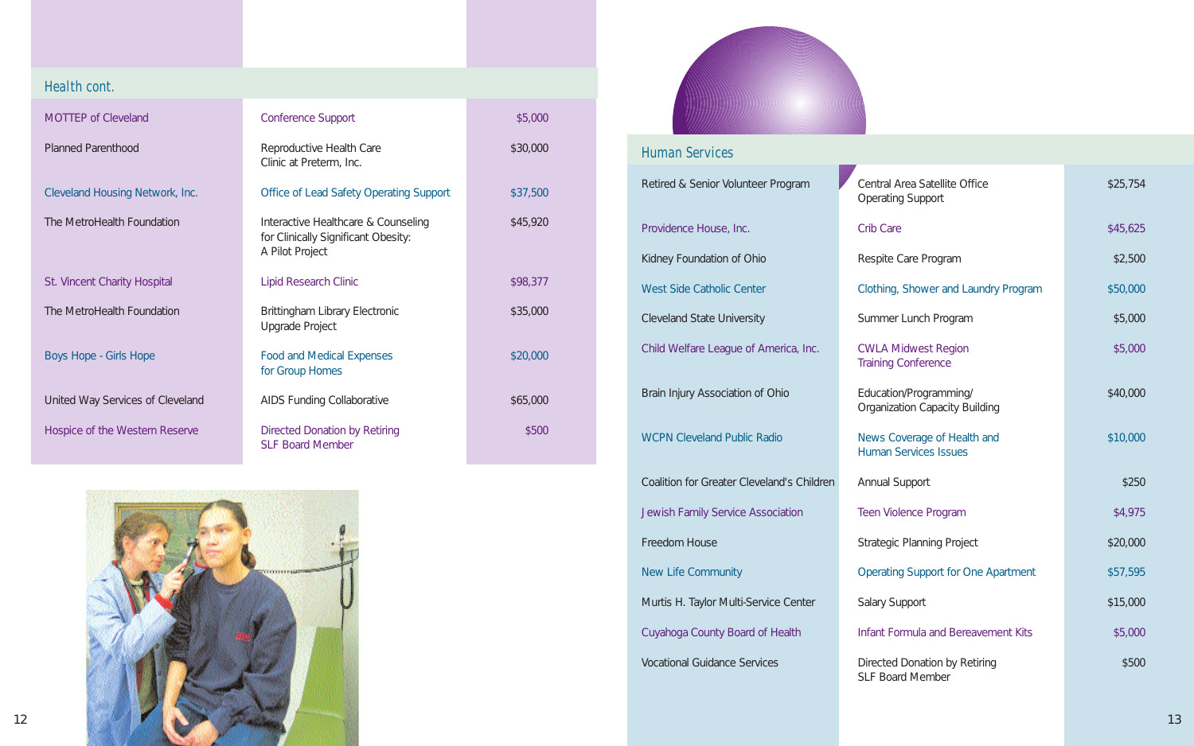| Central Area Satellite Office<br><b>Operating Support</b>       | \$25,754 |
|-----------------------------------------------------------------|----------|
| Crib Care                                                       | \$45,625 |
| Respite Care Program                                            | \$2,500  |
| Clothing, Shower and Laundry Program                            | \$50,000 |
| Summer Lunch Program                                            | \$5,000  |
| <b>CWLA Midwest Region</b><br><b>Training Conference</b>        | \$5,000  |
| Education/Programming/<br><b>Organization Capacity Building</b> | \$40,000 |
| News Coverage of Health and<br><b>Human Services Issues</b>     | \$10,000 |
| Annual Support                                                  | \$250    |
| Teen Violence Program                                           | \$4,975  |
| <b>Strategic Planning Project</b>                               | \$20,000 |
| <b>Operating Support for One Apartment</b>                      | \$57,595 |
| <b>Salary Support</b>                                           | \$15,000 |
| <b>Infant Formula and Bereavement Kits</b>                      | \$5,000  |
| Directed Donation by Retiring<br>SLF Board Member               | \$500    |

### Health cont.

MOTTEP of Cleveland

Planned Parenthood

Cleveland Housing Network, Inc.

The MetroHealth Foundation

St. Vincent Charity Hospital

The MetroHealth Foundation

Boys Hope - Girls Hope

United Way Services of Cleveland Hospice of the Western Reserve

| <b>Conference Support</b>                                                                     | \$5,000  |
|-----------------------------------------------------------------------------------------------|----------|
| Reproductive Health Care<br>Clinic at Preterm, Inc.                                           | \$30,000 |
| <b>Office of Lead Safety Operating Support</b>                                                | \$37,500 |
| Interactive Healthcare & Counseling<br>for Clinically Significant Obesity:<br>A Pilot Project | \$45,920 |
| Lipid Research Clinic                                                                         | \$98,377 |
| Brittingham Library Electronic<br>Upgrade Project                                             | \$35,000 |
| <b>Food and Medical Expenses</b><br>for Group Homes                                           | \$20,000 |
| <b>AIDS Funding Collaborative</b>                                                             | \$65,000 |
| Directed Donation by Retiring<br><b>SLF Board Member</b>                                      | \$500    |



| <b>Human Services</b>                             |                                                                 |          |
|---------------------------------------------------|-----------------------------------------------------------------|----------|
| Retired & Senior Volunteer Program                | Central Area Satellite Office<br><b>Operating Support</b>       | \$25,754 |
| Providence House, Inc.                            | Crib Care                                                       | \$45,625 |
| Kidney Foundation of Ohio                         | Respite Care Program                                            | \$2,500  |
| <b>West Side Catholic Center</b>                  | Clothing, Shower and Laundry Program                            | \$50,000 |
| <b>Cleveland State University</b>                 | Summer Lunch Program                                            | \$5,000  |
| Child Welfare League of America, Inc.             | <b>CWLA Midwest Region</b><br><b>Training Conference</b>        | \$5,000  |
| Brain Injury Association of Ohio                  | Education/Programming/<br><b>Organization Capacity Building</b> | \$40,000 |
| <b>WCPN Cleveland Public Radio</b>                | News Coverage of Health and<br><b>Human Services Issues</b>     | \$10,000 |
| <b>Coalition for Greater Cleveland's Children</b> | Annual Support                                                  | \$250    |
| Jewish Family Service Association                 | Teen Violence Program                                           | \$4,975  |
| Freedom House                                     | <b>Strategic Planning Project</b>                               | \$20,000 |
| New Life Community                                | <b>Operating Support for One Apartment</b>                      | \$57,595 |
| Murtis H. Taylor Multi-Service Center             | <b>Salary Support</b>                                           | \$15,000 |
| Cuyahoga County Board of Health                   | Infant Formula and Bereavement Kits                             | \$5,000  |
| <b>Vocational Guidance Services</b>               | Directed Donation by Retiring                                   | \$500    |

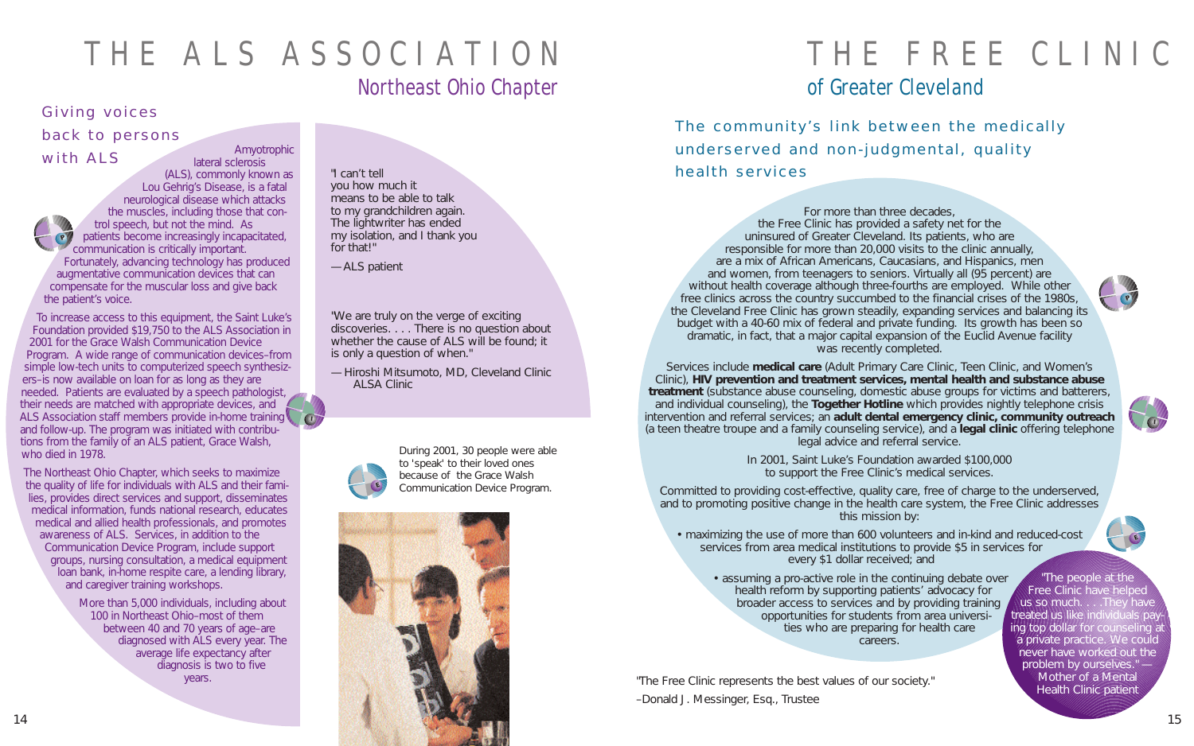### THE ALS ASSOCIATION Northeast Ohio Chapter

## THE FREE CLINIC of Greater Cleveland

### Giving voices back to persons

The community's link between the medically underserved and non-judgmental, quality health services

For more than three decades, the Free Clinic has provided a safety net for the uninsured of Greater Cleveland. Its patients, who are responsible for more than 20,000 visits to the clinic annually, are a mix of African Americans, Caucasians, and Hispanics, men and women, from teenagers to seniors. Virtually all (95 percent) are without health coverage although three-fourths are employed. While other free clinics across the country succumbed to the financial crises of the 1980s, the Cleveland Free Clinic has grown steadily, expanding services and balancing its budget with a 40-60 mix of federal and private funding. Its growth has been so dramatic, in fact, that a major capital expansion of the Euclid Avenue facility was recently completed.

Services include **medical care** (Adult Primary Care Clinic, Teen Clinic, and Women's Clinic), **HIV prevention and treatment services, mental health and substance abuse treatment** (substance abuse counseling, domestic abuse groups for victims and batterers, and individual counseling), the **Together Hotline** which provides nightly telephone crisis intervention and referral services; an **adult dental emergency clinic, community outreach** (a teen theatre troupe and a family counseling service), and a **legal clinic** offering telephone legal advice and referral service.

> In 2001, Saint Luke's Foundation awarded \$100,000 to support the Free Clinic's medical services.

Committed to providing cost-effective, quality care, free of charge to the underserved, and to promoting positive change in the health care system, the Free Clinic addresses this mission by:

• maximizing the use of more than 600 volunteers and in-kind and reduced-cost services from area medical institutions to provide \$5 in services for every \$1 dollar received; and

"The Free Clinic represents the best values of our society." –Donald J. Messinger, Esq., Trustee

with ALS Amyotrophic lateral sclerosis (ALS), commonly known as Lou Gehrig's Disease, is a fatal neurological disease which attacks the muscles, including those that control speech, but not the mind. As patients become increasingly incapacitated, communication is critically important. Fortunately, advancing technology has produced augmentative communication devices that can compensate for the muscular loss and give back the patient's voice. **P**

To increase access to this equipment, the Saint Luke's Foundation provided \$19,750 to the ALS Association in 2001 for the Grace Walsh Communication Device Program. A wide range of communication devices–from simple low-tech units to computerized speech synthesizers–is now available on loan for as long as they are needed. Patients are evaluated by a speech pathologist, their needs are matched with appropriate devices, and ALS Association staff members provide in-home training and follow-up. The program was initiated with contributions from the family of an ALS patient, Grace Walsh, who died in 1978.

> • assuming a pro-active role in the continuing debate over health reform by supporting patients' advocacy for broader access to services and by providing training opportunities for students from area universities who are preparing for health care careers. "The people at the Free Clinic have helped us so much. . . . They have treated us like individuals pay ing top dollar for counseling a a private practice. We could never have worked out the problem by ourselves." -Mother of a Mental Health Clinic patient

The Northeast Ohio Chapter, which seeks to maximize the quality of life for individuals with ALS and their families, provides direct services and support, disseminates medical information, funds national research, educates medical and allied health professionals, and promotes awareness of ALS. Services, in addition to the Communication Device Program, include support groups, nursing consultation, a medical equipment loan bank, in-home respite care, a lending library, and caregiver training workshops.

> More than 5,000 individuals, including about 100 in Northeast Ohio–most of them between 40 and 70 years of age–are diagnosed with ALS every year. The average life expectancy after diagnosis is two to five years.

"I can't tell you how much it means to be able to talk to my grandchildren again. The lightwriter has ended my isolation, and I thank you for that!"

—ALS patient

"We are truly on the verge of exciting discoveries. . . . There is no question about whether the cause of ALS will be found; it is only a question of when."

— Hiroshi Mitsumoto, MD, Cleveland Clinic ALSA Clinic











During 2001, 30 people were able to 'speak' to their loved ones because of the Grace Walsh Communication Device Program.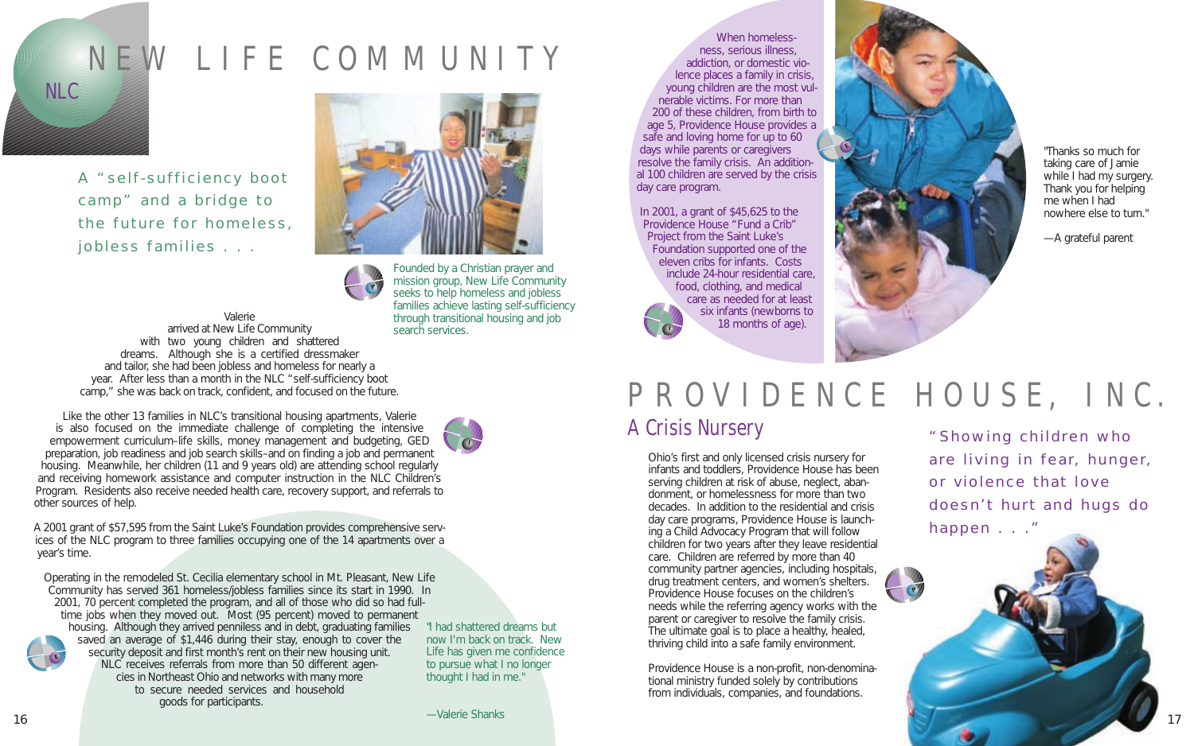When homelessness, serious illness, addiction, or domestic violence places a family in crisis, young children are the most vulnerable victims. For more than 200 of these children, from birth to age 5, Providence House provides a safe and loving home for up to 60 days while parents or caregivers resolve the family crisis. An additional 100 children are served by the crisis day care program.

In 2001, a grant of \$45,625 to the Providence House "Fund a Crib" Project from the Saint Luke's Foundation supported one of the eleven cribs for infants. Costs include 24-hour residential care, food, clothing, and medical care as needed for at least six infants (newborns to 18 months of age).

Ohio's first and only licensed crisis nursery for infants and toddlers, Providence House has been serving children at risk of abuse, neglect, abandonment, or homelessness for more than two decades. In addition to the residential and crisis day care programs, Providence House is launching a Child Advocacy Program that will follow children for two years after they leave residential care. Children are referred by more than 40 community partner agencies, including hospitals, drug treatment centers, and women's shelters. Providence House focuses on the children's needs while the referring agency works with the parent or caregiver to resolve the family crisis. The ultimate goal is to place a healthy, healed, thriving child into a safe family environment.

Providence House is a non-profit, non-denominational ministry funded solely by contributions from individuals, companies, and foundations.

Valerie arrived at New Life Community with two young children and shattered dreams. Although she is a certified dressmaker and tailor, she had been jobless and homeless for nearly a year. After less than a month in the NLC "self-sufficiency boot camp," she was back on track, confident, and focused on the future.



Like the other 13 families in NLC's transitional housing apartments, Valerie is also focused on the immediate challenge of completing the intensive empowerment curriculum–life skills, money management and budgeting, GED preparation, job readiness and job search skills–and on finding a job and permanent housing. Meanwhile, her children (11 and 9 years old) are attending school regularly and receiving homework assistance and computer instruction in the NLC Children's Program. Residents also receive needed health care, recovery support, and referrals to other sources of help.

A 2001 grant of \$57,595 from the Saint Luke's Foundation provides comprehensive services of the NLC program to three families occupying one of the 14 apartments over a year's time.

Operating in the remodeled St. Cecilia elementary school in Mt. Pleasant, New Life Community has served 361 homeless/jobless families since its start in 1990. In 2001, 70 percent completed the program, and all of those who did so had fulltime jobs when they moved out. Most (95 percent) moved to permanent housing. Although they arrived penniless and in debt, graduating families saved an average of \$1,446 during their stay, enough to cover the security deposit and first month's rent on their new housing unit. NLC receives referrals from more than 50 different agencies in Northeast Ohio and networks with many more to secure needed services and household goods for participants. **E**

## NEW LIFE COMMUNITY

NLC

A "self-sufficiency boot camp" and a bridge to the future for homeless, jobless families . . .



"Showing children who are living in fear, hunger, or violence that love doesn't hurt and hugs do happen . . ."

"I had shattered dreams but now I'm back on track. New Life has given me confidence to pursue what I no longer thought I had in me."

"Thanks so much for taking care of Jamie while I had my surgery. Thank you for helping me when I had nowhere else to turn."

—A grateful parent

## PROVIDENCE HOUSE, INC. A Crisis Nursery



**E**



Founded by a Christian prayer and mission group, New Life Community seeks to help homeless and jobless families achieve lasting self-sufficiency through transitional housing and job search services.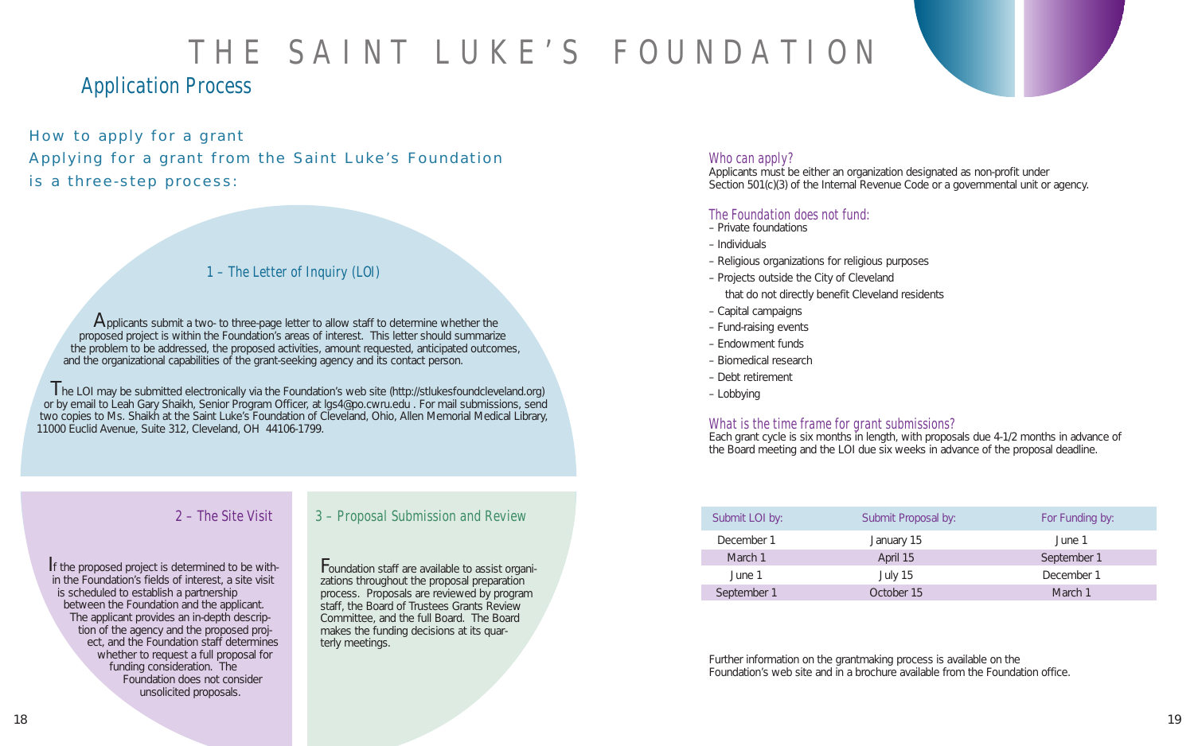Applicants must be either an organization designated as non-profit under Section 501(c)(3) of the Internal Revenue Code or a governmental unit or agency.

### The Foundation does not fund:

- Private foundations
- Individuals
- Religious organizations for religious purposes
- Projects outside the City of Cleveland that do not directly benefit Cleveland residents
- Capital campaigns
- Fund-raising events
- Endowment funds
- Biomedical research
- Debt retirement
- Lobbying

#### What is the time frame for grant submissions? Each grant cycle is six months in length, with proposals due 4-1/2 months in advance of the Board meeting and the LOI due six weeks in advance of the proposal deadline.

Applicants submit a two- to three-page letter to allow staff to determine whether the proposed project is within the Foundation's areas of interest. This letter should summarize the problem to be addressed, the proposed activities, amount requested, anticipated outcomes, and the organizational capabilities of the grant-seeking agency and its contact person.

> Further information on the grantmaking process is available on the Foundation's web site and in a brochure available from the Foundation office.

| Submit LOI by: | Submit Proposal by: | For Funding by: |
|----------------|---------------------|-----------------|
| December 1     | January 15          | June 1          |
| March 1        | April 15            | September 1     |
| June 1         | July 15             | December 1      |
| September 1    | October 15          | March 1         |

The LOI may be submitted electronically via the Foundation's web site (http://stlukesfoundcleveland.org) or by email to Leah Gary Shaikh, Senior Program Officer, at lgs4@po.cwru.edu . For mail submissions, send two copies to Ms. Shaikh at the Saint Luke's Foundation of Cleveland, Ohio, Allen Memorial Medical Library, 11000 Euclid Avenue, Suite 312, Cleveland, OH 44106-1799.

How to apply for a grant Applying for a grant from the Saint Luke's Foundation is a three-step process:

## THE SAINT LUKE'S FOUNDATION

### Application Process

If the proposed project is determined to be within the Foundation's fields of interest, a site visit is scheduled to establish a partnership between the Foundation and the applicant. The applicant provides an in-depth description of the agency and the proposed project, and the Foundation staff determines whether to request a full proposal for funding consideration. The Foundation does not consider unsolicited proposals.

### 1 – The Letter of Inquiry (LOI)

### 2 – The Site Visit

Foundation staff are available to assist organizations throughout the proposal preparation process. Proposals are reviewed by program staff, the Board of Trustees Grants Review Committee, and the full Board. The Board makes the funding decisions at its quarterly meetings.

### Who can apply?

### 3 – Proposal Submission and Review